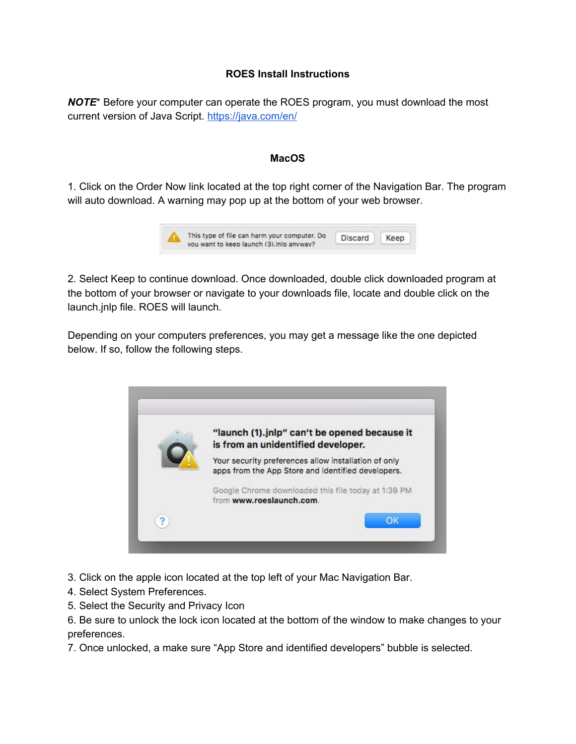## **ROES Install Instructions**

**NOTE**\* Before your computer can operate the ROES program, you must download the most current version of Java Script. <https://java.com/en/>

## **MacOS**

1. Click on the Order Now link located at the top right corner of the Navigation Bar. The program will auto download. A warning may pop up at the bottom of your web browser.



2. Select Keep to continue download. Once downloaded, double click downloaded program at the bottom of your browser or navigate to your downloads file, locate and double click on the launch.jnlp file. ROES will launch.

Depending on your computers preferences, you may get a message like the one depicted below. If so, follow the following steps.



- 3. Click on the apple icon located at the top left of your Mac Navigation Bar.
- 4. Select System Preferences.
- 5. Select the Security and Privacy Icon
- 6. Be sure to unlock the lock icon located at the bottom of the window to make changes to your preferences.
- 7. Once unlocked, a make sure "App Store and identified developers" bubble is selected.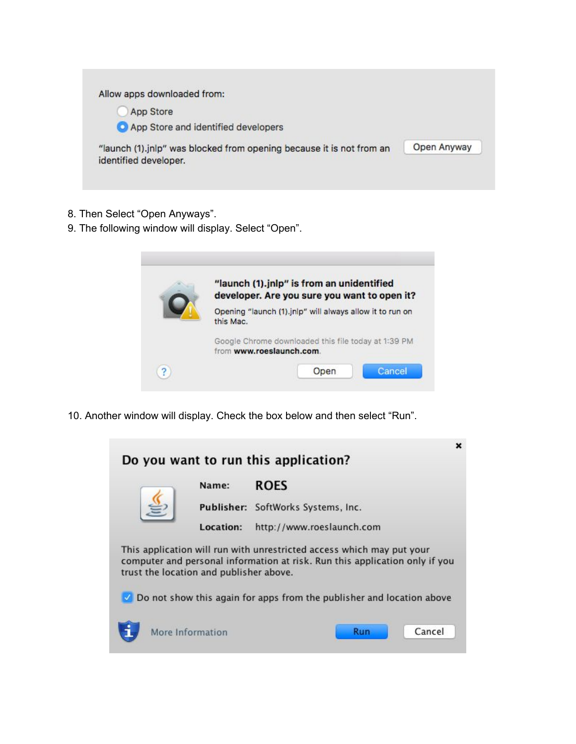

- 8. Then Select "Open Anyways".
- 9. The following window will display. Select "Open".

|   | "launch (1).jnlp" is from an unidentified<br>developer. Are you sure you want to open it? |  |
|---|-------------------------------------------------------------------------------------------|--|
|   | Opening "launch (1).jnlp" will always allow it to run on<br>this Mac.                     |  |
|   | Google Chrome downloaded this file today at 1:39 PM<br>from www.roeslaunch.com.           |  |
| ? | Cancel<br>Open                                                                            |  |

10. Another window will display. Check the box below and then select "Run".

| Name:                                   | <b>ROES</b>                                                                 |
|-----------------------------------------|-----------------------------------------------------------------------------|
|                                         | Publisher: SoftWorks Systems, Inc.                                          |
| Location:                               | http://www.roeslaunch.com                                                   |
| trust the location and publisher above. | computer and personal information at risk. Run this application only if you |
|                                         |                                                                             |